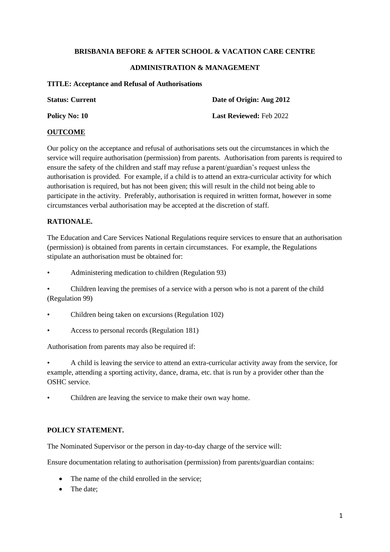#### **BRISBANIA BEFORE & AFTER SCHOOL & VACATION CARE CENTRE**

### **ADMINISTRATION & MANAGEMENT**

#### **TITLE: Acceptance and Refusal of Authorisations**

| <b>Status: Current</b> | Date of Origin: Aug 2012       |
|------------------------|--------------------------------|
| Policy No: 10          | <b>Last Reviewed: Feb 2022</b> |

### **OUTCOME**

Our policy on the acceptance and refusal of authorisations sets out the circumstances in which the service will require authorisation (permission) from parents. Authorisation from parents is required to ensure the safety of the children and staff may refuse a parent/guardian's request unless the authorisation is provided. For example, if a child is to attend an extra-curricular activity for which authorisation is required, but has not been given; this will result in the child not being able to participate in the activity. Preferably, authorisation is required in written format, however in some circumstances verbal authorisation may be accepted at the discretion of staff.

### **RATIONALE.**

The Education and Care Services National Regulations require services to ensure that an authorisation (permission) is obtained from parents in certain circumstances. For example, the Regulations stipulate an authorisation must be obtained for:

• Administering medication to children (Regulation 93)

• Children leaving the premises of a service with a person who is not a parent of the child (Regulation 99)

- Children being taken on excursions (Regulation 102)
- Access to personal records (Regulation 181)

Authorisation from parents may also be required if:

• A child is leaving the service to attend an extra-curricular activity away from the service, for example, attending a sporting activity, dance, drama, etc. that is run by a provider other than the OSHC service.

Children are leaving the service to make their own way home.

## **POLICY STATEMENT.**

The Nominated Supervisor or the person in day-to-day charge of the service will:

Ensure documentation relating to authorisation (permission) from parents/guardian contains:

- The name of the child enrolled in the service;
- The date: